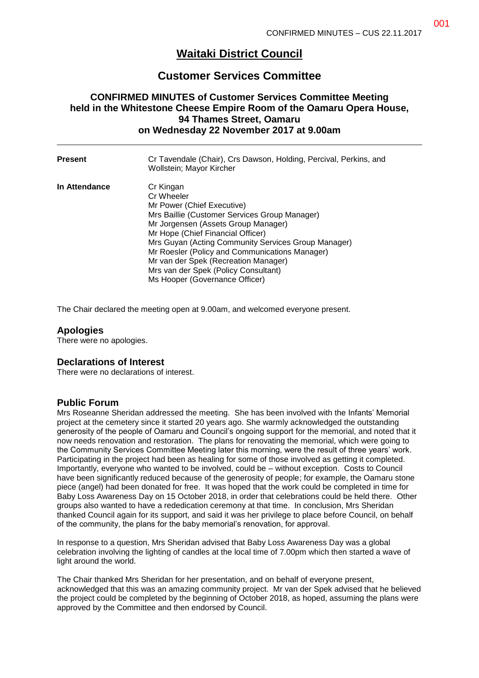# **Waitaki District Council**

# **Customer Services Committee**

## **CONFIRMED MINUTES of Customer Services Committee Meeting held in the Whitestone Cheese Empire Room of the Oamaru Opera House, 94 Thames Street, Oamaru on Wednesday 22 November 2017 at 9.00am**

| <b>Present</b> | Cr Tavendale (Chair), Crs Dawson, Holding, Percival, Perkins, and<br>Wollstein; Mayor Kircher                                                                                                                                                                                                                                                                                                                 |
|----------------|---------------------------------------------------------------------------------------------------------------------------------------------------------------------------------------------------------------------------------------------------------------------------------------------------------------------------------------------------------------------------------------------------------------|
| In Attendance  | Cr Kingan<br>Cr Wheeler<br>Mr Power (Chief Executive)<br>Mrs Baillie (Customer Services Group Manager)<br>Mr Jorgensen (Assets Group Manager)<br>Mr Hope (Chief Financial Officer)<br>Mrs Guyan (Acting Community Services Group Manager)<br>Mr Roesler (Policy and Communications Manager)<br>Mr van der Spek (Recreation Manager)<br>Mrs van der Spek (Policy Consultant)<br>Ms Hooper (Governance Officer) |

The Chair declared the meeting open at 9.00am, and welcomed everyone present.

### **Apologies**

There were no apologies.

#### **Declarations of Interest**

There were no declarations of interest.

#### **Public Forum**

Mrs Roseanne Sheridan addressed the meeting. She has been involved with the Infants' Memorial project at the cemetery since it started 20 years ago. She warmly acknowledged the outstanding generosity of the people of Oamaru and Council's ongoing support for the memorial, and noted that it now needs renovation and restoration. The plans for renovating the memorial, which were going to the Community Services Committee Meeting later this morning, were the result of three years' work. Participating in the project had been as healing for some of those involved as getting it completed. Importantly, everyone who wanted to be involved, could be – without exception. Costs to Council have been significantly reduced because of the generosity of people; for example, the Oamaru stone piece (angel) had been donated for free. It was hoped that the work could be completed in time for Baby Loss Awareness Day on 15 October 2018, in order that celebrations could be held there. Other groups also wanted to have a rededication ceremony at that time. In conclusion, Mrs Sheridan thanked Council again for its support, and said it was her privilege to place before Council, on behalf of the community, the plans for the baby memorial's renovation, for approval.

In response to a question, Mrs Sheridan advised that Baby Loss Awareness Day was a global celebration involving the lighting of candles at the local time of 7.00pm which then started a wave of light around the world.

The Chair thanked Mrs Sheridan for her presentation, and on behalf of everyone present, acknowledged that this was an amazing community project. Mr van der Spek advised that he believed the project could be completed by the beginning of October 2018, as hoped, assuming the plans were approved by the Committee and then endorsed by Council.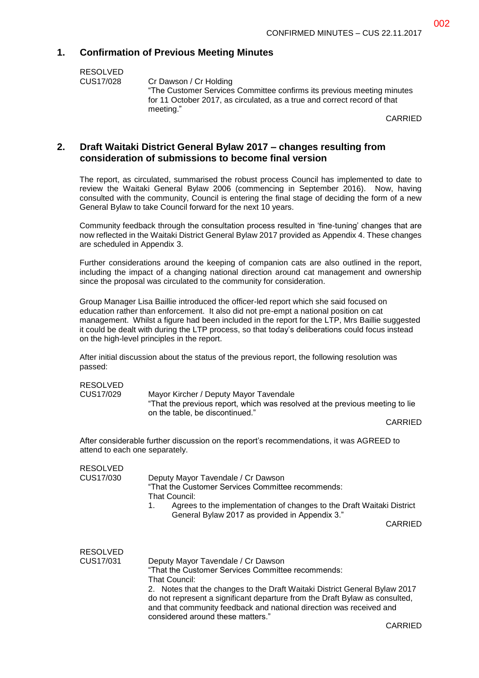## **1. Confirmation of Previous Meeting Minutes**

| RESOLVED  |
|-----------|
| CUS17/028 |

Cr Dawson / Cr Holding "The Customer Services Committee confirms its previous meeting minutes for 11 October 2017, as circulated, as a true and correct record of that meeting."

CARRIED

#### **2. Draft Waitaki District General Bylaw 2017 – changes resulting from consideration of submissions to become final version**

The report, as circulated, summarised the robust process Council has implemented to date to review the Waitaki General Bylaw 2006 (commencing in September 2016). Now, having consulted with the community, Council is entering the final stage of deciding the form of a new General Bylaw to take Council forward for the next 10 years.

Community feedback through the consultation process resulted in 'fine-tuning' changes that are now reflected in the Waitaki District General Bylaw 2017 provided as Appendix 4. These changes are scheduled in Appendix 3.

Further considerations around the keeping of companion cats are also outlined in the report, including the impact of a changing national direction around cat management and ownership since the proposal was circulated to the community for consideration.

Group Manager Lisa Baillie introduced the officer-led report which she said focused on education rather than enforcement. It also did not pre-empt a national position on cat management. Whilst a figure had been included in the report for the LTP, Mrs Baillie suggested it could be dealt with during the LTP process, so that today's deliberations could focus instead on the high-level principles in the report.

After initial discussion about the status of the previous report, the following resolution was passed:

RESOLVED<br>CUS17/029

Mayor Kircher / Deputy Mayor Tavendale "That the previous report, which was resolved at the previous meeting to lie on the table, be discontinued."

CARRIED

After considerable further discussion on the report's recommendations, it was AGREED to attend to each one separately.

| <b>RESOLVED</b> |                                                                                                                                                                                                                                                                       |  |  |
|-----------------|-----------------------------------------------------------------------------------------------------------------------------------------------------------------------------------------------------------------------------------------------------------------------|--|--|
| CUS17/030       | Deputy Mayor Tavendale / Cr Dawson<br>"That the Customer Services Committee recommends:<br>That Council:                                                                                                                                                              |  |  |
|                 | Agrees to the implementation of changes to the Draft Waitaki District<br>1.<br>General Bylaw 2017 as provided in Appendix 3."                                                                                                                                         |  |  |
|                 | <b>CARRIED</b>                                                                                                                                                                                                                                                        |  |  |
| <b>RESOLVED</b> |                                                                                                                                                                                                                                                                       |  |  |
| CUS17/031       | Deputy Mayor Tavendale / Cr Dawson                                                                                                                                                                                                                                    |  |  |
|                 | "That the Customer Services Committee recommends:<br>That Council:                                                                                                                                                                                                    |  |  |
|                 | 2. Notes that the changes to the Draft Waitaki District General Bylaw 2017<br>do not represent a significant departure from the Draft Bylaw as consulted,<br>and that community feedback and national direction was received and<br>considered around these matters." |  |  |
|                 |                                                                                                                                                                                                                                                                       |  |  |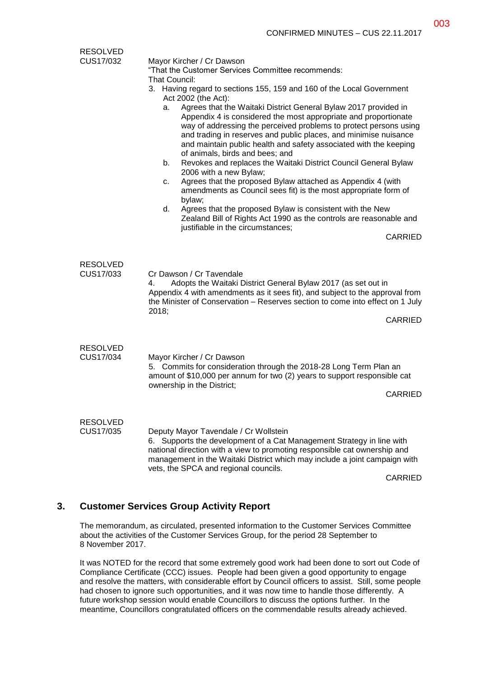| <b>RESOLVED</b>              |                                                                                                                                                                                                                                                                                                                                                                                                                                                                    |                |  |  |
|------------------------------|--------------------------------------------------------------------------------------------------------------------------------------------------------------------------------------------------------------------------------------------------------------------------------------------------------------------------------------------------------------------------------------------------------------------------------------------------------------------|----------------|--|--|
| CUS17/032                    | Mayor Kircher / Cr Dawson                                                                                                                                                                                                                                                                                                                                                                                                                                          |                |  |  |
|                              | "That the Customer Services Committee recommends:                                                                                                                                                                                                                                                                                                                                                                                                                  |                |  |  |
|                              | That Council:                                                                                                                                                                                                                                                                                                                                                                                                                                                      |                |  |  |
|                              | 3. Having regard to sections 155, 159 and 160 of the Local Government<br>Act 2002 (the Act):                                                                                                                                                                                                                                                                                                                                                                       |                |  |  |
|                              | Agrees that the Waitaki District General Bylaw 2017 provided in<br>a.<br>Appendix 4 is considered the most appropriate and proportionate<br>way of addressing the perceived problems to protect persons using<br>and trading in reserves and public places, and minimise nuisance<br>and maintain public health and safety associated with the keeping<br>of animals, birds and bees; and<br>Revokes and replaces the Waitaki District Council General Bylaw<br>b. |                |  |  |
|                              | 2006 with a new Bylaw;                                                                                                                                                                                                                                                                                                                                                                                                                                             |                |  |  |
|                              | Agrees that the proposed Bylaw attached as Appendix 4 (with<br>c.<br>amendments as Council sees fit) is the most appropriate form of                                                                                                                                                                                                                                                                                                                               |                |  |  |
|                              | bylaw;<br>Agrees that the proposed Bylaw is consistent with the New<br>d.<br>Zealand Bill of Rights Act 1990 as the controls are reasonable and                                                                                                                                                                                                                                                                                                                    |                |  |  |
|                              | justifiable in the circumstances;                                                                                                                                                                                                                                                                                                                                                                                                                                  |                |  |  |
|                              |                                                                                                                                                                                                                                                                                                                                                                                                                                                                    | CARRIED        |  |  |
|                              |                                                                                                                                                                                                                                                                                                                                                                                                                                                                    |                |  |  |
| <b>RESOLVED</b><br>CUS17/033 | Cr Dawson / Cr Tavendale<br>4.<br>Adopts the Waitaki District General Bylaw 2017 (as set out in<br>Appendix 4 with amendments as it sees fit), and subject to the approval from<br>the Minister of Conservation - Reserves section to come into effect on 1 July<br>2018;                                                                                                                                                                                          |                |  |  |
|                              |                                                                                                                                                                                                                                                                                                                                                                                                                                                                    | <b>CARRIED</b> |  |  |
|                              |                                                                                                                                                                                                                                                                                                                                                                                                                                                                    |                |  |  |
| <b>RESOLVED</b><br>CUS17/034 | Mayor Kircher / Cr Dawson<br>5. Commits for consideration through the 2018-28 Long Term Plan an<br>amount of \$10,000 per annum for two (2) years to support responsible cat<br>ownership in the District;                                                                                                                                                                                                                                                         |                |  |  |
|                              |                                                                                                                                                                                                                                                                                                                                                                                                                                                                    |                |  |  |
|                              |                                                                                                                                                                                                                                                                                                                                                                                                                                                                    |                |  |  |
| <b>RESOLVED</b><br>CUS17/035 | Deputy Mayor Tavendale / Cr Wollstein<br>6. Supports the development of a Cat Management Strategy in line with<br>national direction with a view to promoting responsible cat ownership and<br>management in the Waitaki District which may include a joint campaign with<br>vets, the SPCA and regional councils.                                                                                                                                                 |                |  |  |
|                              |                                                                                                                                                                                                                                                                                                                                                                                                                                                                    |                |  |  |
|                              |                                                                                                                                                                                                                                                                                                                                                                                                                                                                    | <b>CARRIED</b> |  |  |

#### **3. Customer Services Group Activity Report**

The memorandum, as circulated, presented information to the Customer Services Committee about the activities of the Customer Services Group, for the period 28 September to 8 November 2017.

It was NOTED for the record that some extremely good work had been done to sort out Code of Compliance Certificate (CCC) issues. People had been given a good opportunity to engage and resolve the matters, with considerable effort by Council officers to assist. Still, some people had chosen to ignore such opportunities, and it was now time to handle those differently. A future workshop session would enable Councillors to discuss the options further. In the meantime, Councillors congratulated officers on the commendable results already achieved.